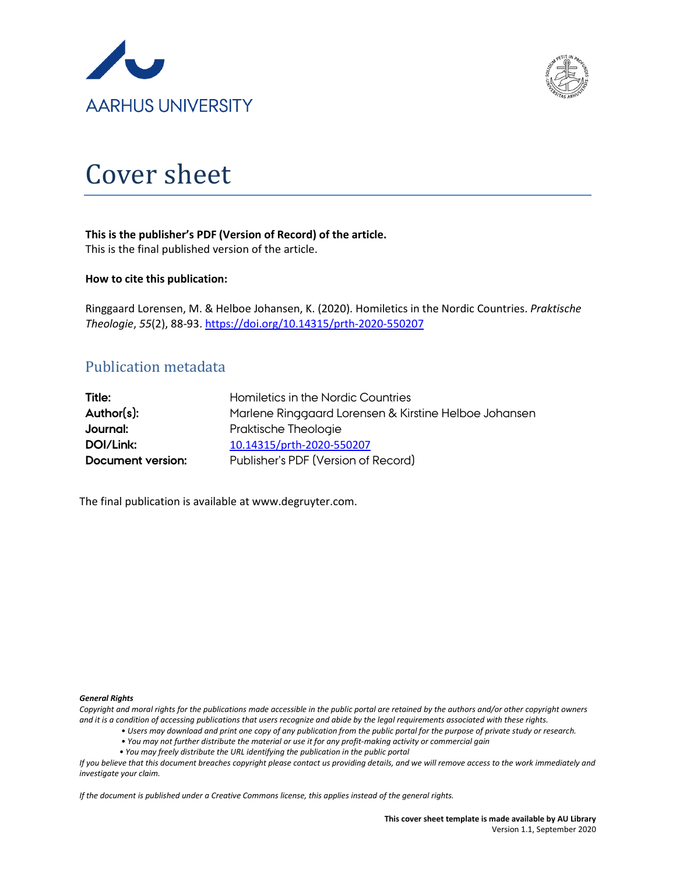



# Cover sheet

# **This is the publisher's PDF (Version of Record) of the article.**

This is the final published version of the article.

#### **How to cite this publication:**

Ringgaard Lorensen, M. & Helboe Johansen, K. (2020). Homiletics in the Nordic Countries. *Praktische Theologie*, *55*(2), 88-93[. https://doi.org/10.14315/prth-2020-550207](https://doi.org/10.14315/prth-2020-550207)

# Publication metadata

| Title:            | Homiletics in the Nordic Countries                    |
|-------------------|-------------------------------------------------------|
| Author(s):        | Marlene Ringgaard Lorensen & Kirstine Helboe Johansen |
| Journal:          | Praktische Theologie                                  |
| DOI/Link:         | 10.14315/prth-2020-550207                             |
| Document version: | Publisher's PDF (Version of Record)                   |

The final publication is available at www.degruyter.com.

#### *General Rights*

*Copyright and moral rights for the publications made accessible in the public portal are retained by the authors and/or other copyright owners and it is a condition of accessing publications that users recognize and abide by the legal requirements associated with these rights.*

- *Users may download and print one copy of any publication from the public portal for the purpose of private study or research.*
- *You may not further distribute the material or use it for any profit-making activity or commercial gain*
- *You may freely distribute the URL identifying the publication in the public portal*

*If you believe that this document breaches copyright please contact us providing details, and we will remove access to the work immediately and investigate your claim.*

*If the document is published under a Creative Commons license, this applies instead of the general rights.*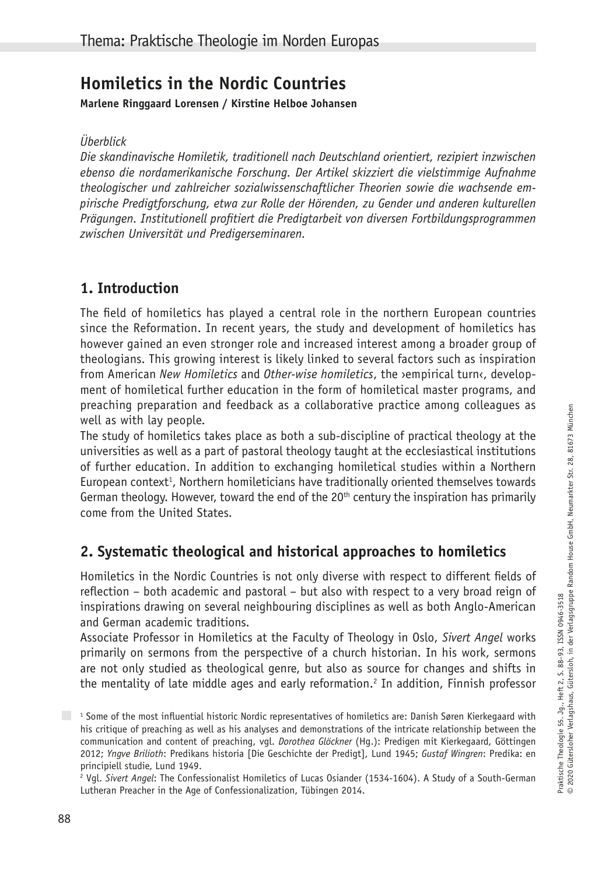# **Homiletics in the Nordic Countries**

**Marlene Ringgaard Lorensen / Kirstine Helboe Johansen**

*Überblick*

*Die skandinavische Homiletik, traditionell nach Deutschland orientiert, rezipiert inzwischen ebenso die nordamerikanische Forschung. Der Artikel skizziert die vielstimmige Aufnahme theologischer und zahlreicher sozialwissenschaftlicher Theorien sowie die wachsende empirische Predigtforschung, etwa zur Rolle der Hörenden, zu Gender und anderen kulturellen Prägungen. Institutionell profitiert die Predigtarbeit von diversen Fortbildungsprogrammen zwischen Universität und Predigerseminaren.* 

## **1. Introduction**

The field of homiletics has played a central role in the northern European countries since the Reformation. In recent years, the study and development of homiletics has however gained an even stronger role and increased interest among a broader group of theologians. This growing interest is likely linked to several factors such as inspiration from American *New Homiletics* and *Other-wise homiletics*, the ›empirical turn‹, development of homiletical further education in the form of homiletical master programs, and preaching preparation and feedback as a collaborative practice among colleagues as well as with lay people.

The study of homiletics takes place as both a sub-discipline of practical theology at the universities as well as a part of pastoral theology taught at the ecclesiastical institutions of further education. In addition to exchanging homiletical studies within a Northern European context<sup>1</sup>, Northern homileticians have traditionally oriented themselves towards German theology. However, toward the end of the 20<sup>th</sup> century the inspiration has primarily come from the United States.

# **2. Systematic theological and historical approaches to homiletics**

Homiletics in the Nordic Countries is not only diverse with respect to different fields of reflection – both academic and pastoral – but also with respect to a very broad reign of inspirations drawing on several neighbouring disciplines as well as both Anglo-American and German academic traditions.

Associate Professor in Homiletics at the Faculty of Theology in Oslo, *Sivert Angel* works primarily on sermons from the perspective of a church historian. In his work, sermons are not only studied as theological genre, but also as source for changes and shifts in the mentality of late middle ages and early reformation.<sup>2</sup> In addition, Finnish professor

<sup>1</sup> Some of the most influential historic Nordic representatives of homiletics are: Danish Søren Kierkegaard with his critique of preaching as well as his analyses and demonstrations of the intricate relationship between the communication and content of preaching, vgl. *Dorothea Glöckner* (Hg.): Predigen mit Kierkegaard, Göttingen 2012; *Yngve Brilioth*: Predikans historia [Die Geschichte der Predigt], Lund 1945; *Gustaf Wingren*: Predika: en principiell studie, Lund 1949.

<sup>2</sup> Vgl. *Sivert Angel*: The Confessionalist Homiletics of Lucas Osiander (1534-1604). A Study of a South-German Lutheran Preacher in the Age of Confessionalization, Tübingen 2014.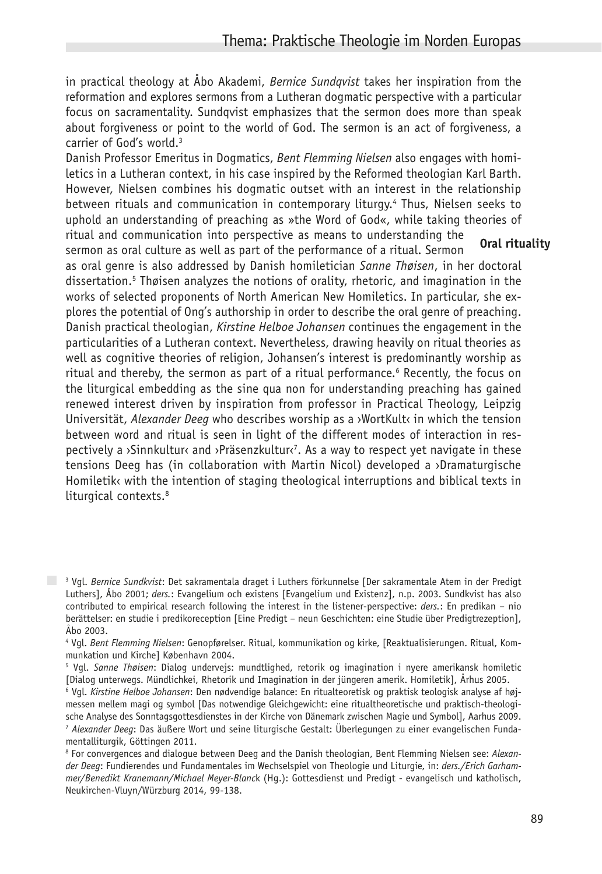in practical theology at Åbo Akademi, *Bernice Sundqvist* takes her inspiration from the reformation and explores sermons from a Lutheran dogmatic perspective with a particular focus on sacramentality. Sundqvist emphasizes that the sermon does more than speak about forgiveness or point to the world of God. The sermon is an act of forgiveness, a carrier of God's world.<sup>3</sup>

Danish Professor Emeritus in Dogmatics, *Bent Flemming Nielsen* also engages with homiletics in a Lutheran context, in his case inspired by the Reformed theologian Karl Barth. However, Nielsen combines his dogmatic outset with an interest in the relationship between rituals and communication in contemporary liturgy.4 Thus, Nielsen seeks to uphold an understanding of preaching as »the Word of God«, while taking theories of ritual and communication into perspective as means to understanding the sermon as oral culture as well as part of the performance of a ritual. Sermon **Oral rituality** 

as oral genre is also addressed by Danish homiletician *Sanne Thøisen*, in her doctoral dissertation.5 Thøisen analyzes the notions of orality, rhetoric, and imagination in the works of selected proponents of North American New Homiletics. In particular, she explores the potential of Ong's authorship in order to describe the oral genre of preaching. Danish practical theologian, *Kirstine Helboe Johansen* continues the engagement in the particularities of a Lutheran context. Nevertheless, drawing heavily on ritual theories as well as cognitive theories of religion, Johansen's interest is predominantly worship as ritual and thereby, the sermon as part of a ritual performance.<sup>6</sup> Recently, the focus on the liturgical embedding as the sine qua non for understanding preaching has gained renewed interest driven by inspiration from professor in Practical Theology, Leipzig Universität, *Alexander Deeq* who describes worship as a >WortKult< in which the tension between word and ritual is seen in light of the different modes of interaction in respectively a ›Sinnkultur‹ and ›Präsenzkultur‹7 . As a way to respect yet navigate in these tensions Deeg has (in collaboration with Martin Nicol) developed a ›Dramaturgische Homiletik‹ with the intention of staging theological interruptions and biblical texts in liturgical contexts.<sup>8</sup>

<sup>3</sup> Vgl. *Bernice Sundkvist*: Det sakramentala draget i Luthers förkunnelse [Der sakramentale Atem in der Predigt Luthers], Åbo 2001; *ders.*: Evangelium och existens [Evangelium und Existenz], n.p. 2003. Sundkvist has also contributed to empirical research following the interest in the listener-perspective: *ders.*: En predikan – nio berättelser: en studie i predikoreception [Eine Predigt – neun Geschichten: eine Studie über Predigtrezeption], Åbo 2003.

<sup>4</sup> Vgl. *Bent Flemming Nielsen*: Genopførelser. Ritual, kommunikation og kirke, [Reaktualisierungen. Ritual, Kommunkation und Kirche] København 2004.

<sup>5</sup> Vgl. *Sanne Thøisen*: Dialog undervejs: mundtlighed, retorik og imagination i nyere amerikansk homiletic [Dialog unterwegs. Mündlichkei, Rhetorik und Imagination in der jüngeren amerik. Homiletik], Århus 2005.

<sup>6</sup> Vgl. *Kirstine Helboe Johansen*: Den nødvendige balance: En ritualteoretisk og praktisk teologisk analyse af højmessen mellem magi og symbol [Das notwendige Gleichgewicht: eine ritualtheoretische und praktisch-theologische Analyse des Sonntagsgottesdienstes in der Kirche von Dänemark zwischen Magie und Symbol], Aarhus 2009. <sup>7</sup> *Alexander Deeg*: Das äußere Wort und seine liturgische Gestalt: Überlegungen zu einer evangelischen Fundamentalliturgik, Göttingen 2011.

<sup>8</sup> For convergences and dialogue between Deeg and the Danish theologian, Bent Flemming Nielsen see: *Alexander Deeg*: Fundierendes und Fundamentales im Wechselspiel von Theologie und Liturgie, in: *ders./Erich Garhammer/Benedikt Kranemann/Michael Meyer-Blanc*k (Hg.): Gottesdienst und Predigt - evangelisch und katholisch, Neukirchen-Vluyn/Würzburg 2014, 99-138.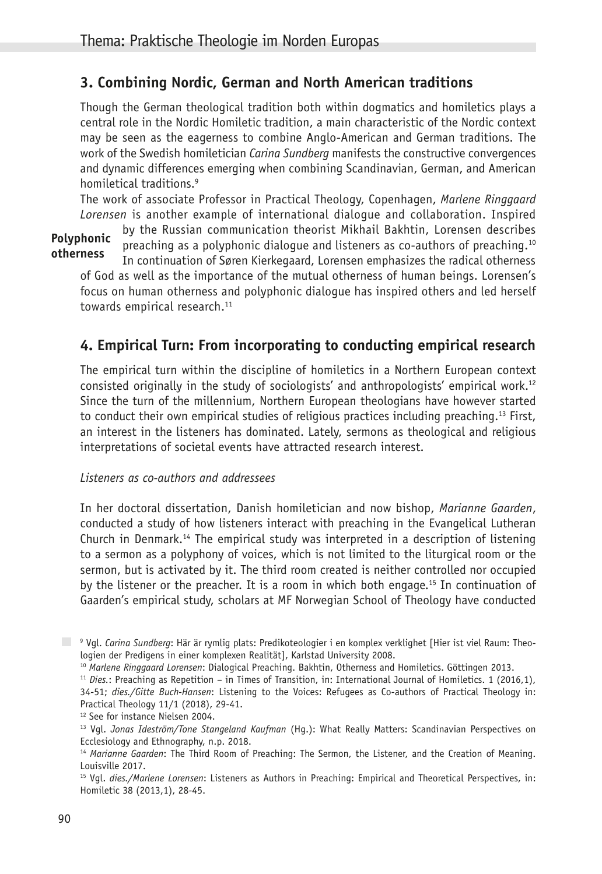## **3. Combining Nordic, German and North American traditions**

Though the German theological tradition both within dogmatics and homiletics plays a central role in the Nordic Homiletic tradition, a main characteristic of the Nordic context may be seen as the eagerness to combine Anglo-American and German traditions. The work of the Swedish homiletician *Carina Sundberg* manifests the constructive convergences and dynamic differences emerging when combining Scandinavian, German, and American homiletical traditions.<sup>9</sup>

The work of associate Professor in Practical Theology, Copenhagen, *Marlene Ringgaard Lorensen* is another example of international dialogue and collaboration. Inspired

by the Russian communication theorist Mikhail Bakhtin, Lorensen describes preaching as a polyphonic dialogue and listeners as co-authors of preaching.10 In continuation of Søren Kierkegaard, Lorensen emphasizes the radical otherness of God as well as the importance of the mutual otherness of human beings. Lorensen's focus on human otherness and polyphonic dialogue has inspired others and led herself towards empirical research.<sup>11</sup> **Polyphonic otherness**

## **4. Empirical Turn: From incorporating to conducting empirical research**

The empirical turn within the discipline of homiletics in a Northern European context consisted originally in the study of sociologists' and anthropologists' empirical work.12 Since the turn of the millennium, Northern European theologians have however started to conduct their own empirical studies of religious practices including preaching.13 First, an interest in the listeners has dominated. Lately, sermons as theological and religious interpretations of societal events have attracted research interest.

#### *Listeners as co-authors and addressees*

In her doctoral dissertation, Danish homiletician and now bishop, *Marianne Gaarden*, conducted a study of how listeners interact with preaching in the Evangelical Lutheran Church in Denmark.<sup>14</sup> The empirical study was interpreted in a description of listening to a sermon as a polyphony of voices, which is not limited to the liturgical room or the sermon, but is activated by it. The third room created is neither controlled nor occupied by the listener or the preacher. It is a room in which both engage.15 In continuation of Gaarden's empirical study, scholars at MF Norwegian School of Theology have conducted

<sup>9</sup> Vgl. *Carina Sundberg*: Här är rymlig plats: Predikoteologier i en komplex verklighet [Hier ist viel Raum: Theologien der Predigens in einer komplexen Realität], Karlstad University 2008.

<sup>10</sup> *Marlene Ringgaard Lorensen*: Dialogical Preaching. Bakhtin, Otherness and Homiletics. Göttingen 2013.

<sup>11</sup> *Dies.*: Preaching as Repetition – in Times of Transition, in: International Journal of Homiletics. 1 (2016,1), 34-51; *dies./Gitte Buch-Hansen*: Listening to the Voices: Refugees as Co-authors of Practical Theology in: Practical Theology 11/1 (2018), 29-41.

<sup>&</sup>lt;sup>12</sup> See for instance Nielsen 2004.

<sup>13</sup> Vgl. *Jonas Ideström/Tone Stangeland Kaufman* (Hg.): What Really Matters: Scandinavian Perspectives on Ecclesiology and Ethnography, n.p. 2018.

<sup>14</sup> *Marianne Gaarden*: The Third Room of Preaching: The Sermon, the Listener, and the Creation of Meaning. Louisville 2017.

<sup>15</sup> Vgl. *dies./Marlene Lorensen*: Listeners as Authors in Preaching: Empirical and Theoretical Perspectives, in: Homiletic 38 (2013,1), 28-45.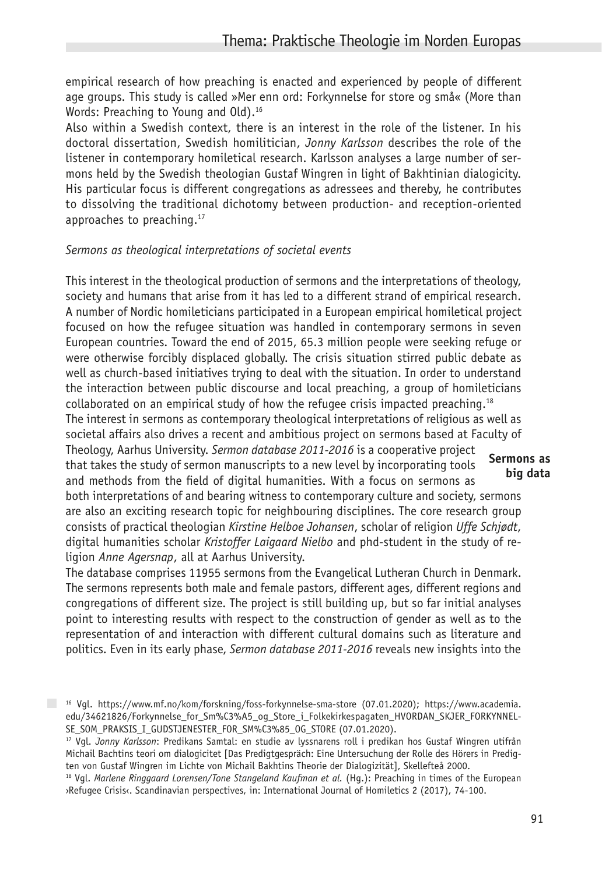empirical research of how preaching is enacted and experienced by people of different age groups. This study is called »Mer enn ord: Forkynnelse for store og små« (More than Words: Preaching to Young and Old).<sup>16</sup>

Also within a Swedish context, there is an interest in the role of the listener. In his doctoral dissertation, Swedish homilitician, *Jonny Karlsson* describes the role of the listener in contemporary homiletical research. Karlsson analyses a large number of sermons held by the Swedish theologian Gustaf Wingren in light of Bakhtinian dialogicity. His particular focus is different congregations as adressees and thereby, he contributes to dissolving the traditional dichotomy between production- and reception-oriented approaches to preaching.<sup>17</sup>

#### *Sermons as theological interpretations of societal events*

This interest in the theological production of sermons and the interpretations of theology, society and humans that arise from it has led to a different strand of empirical research. A number of Nordic homileticians participated in a European empirical homiletical project focused on how the refugee situation was handled in contemporary sermons in seven European countries. Toward the end of 2015, 65.3 million people were seeking refuge or were otherwise forcibly displaced globally. The crisis situation stirred public debate as well as church-based initiatives trying to deal with the situation. In order to understand the interaction between public discourse and local preaching, a group of homileticians collaborated on an empirical study of how the refugee crisis impacted preaching.<sup>18</sup> The interest in sermons as contemporary theological interpretations of religious as well as societal affairs also drives a recent and ambitious project on sermons based at Faculty of Theology, Aarhus University. *Sermon database 2011-2016* is a cooperative project that takes the study of sermon manuscripts to a new level by incorporating tools and methods from the field of digital humanities. With a focus on sermons as both interpretations of and bearing witness to contemporary culture and society, sermons are also an exciting research topic for neighbouring disciplines. The core research group consists of practical theologian *Kirstine Helboe Johansen*, scholar of religion *Uffe Schjødt*, digital humanities scholar *Kristoffer Laigaard Nielbo* and phd-student in the study of religion *Anne Agersnap*, all at Aarhus University. **Sermons as big data**

The database comprises 11955 sermons from the Evangelical Lutheran Church in Denmark. The sermons represents both male and female pastors, different ages, different regions and congregations of different size. The project is still building up, but so far initial analyses point to interesting results with respect to the construction of gender as well as to the representation of and interaction with different cultural domains such as literature and politics. Even in its early phase, *Sermon database 2011-2016* reveals new insights into the

 $16$  Vgl. https://www.mf.no/kom/forskning/foss-forkynnelse-sma-store (07.01.2020); https://www.academia. edu/34621826/Forkynnelse\_for\_Sm%C3%A5\_og\_Store\_i\_Folkekirkespagaten\_HVORDAN\_SKJER\_FORKYNNEL-SE\_SOM\_PRAKSIS\_I\_GUDSTJENESTER\_FOR\_SM%C3%85\_OG\_STORE (07.01.2020).

<sup>17</sup> Vgl. *Jonny Karlsson*: Predikans Samtal: en studie av lyssnarens roll i predikan hos Gustaf Wingren utifrån Michail Bachtins teori om dialogicitet [Das Predigtgespräch: Eine Untersuchung der Rolle des Hörers in Predigten von Gustaf Wingren im Lichte von Michail Bakhtins Theorie der Dialogizität], Skellefteå 2000.

<sup>18</sup> Vgl. *Marlene Ringgaard Lorensen/Tone Stangeland Kaufman et al.* (Hg.): Preaching in times of the European ›Refugee Crisis‹. Scandinavian perspectives, in: International Journal of Homiletics 2 (2017), 74-100.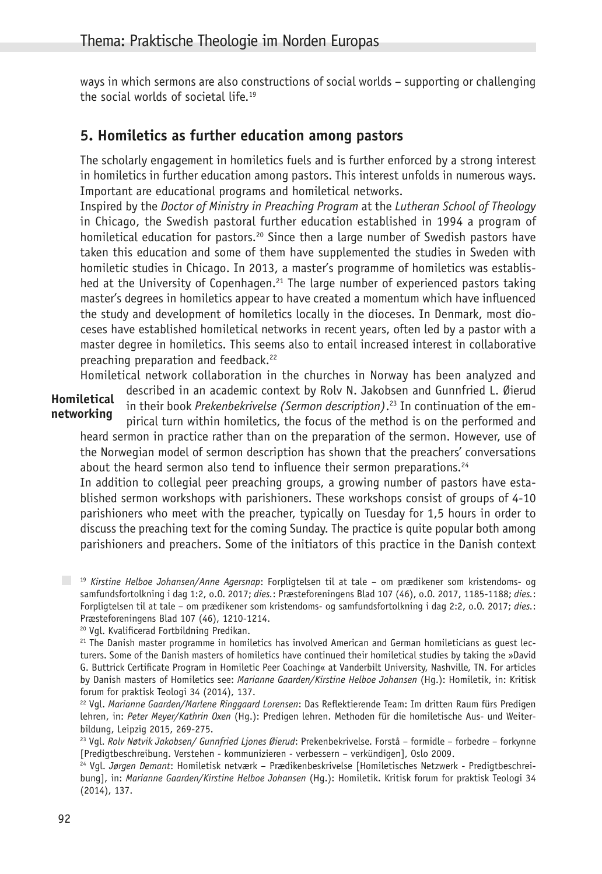ways in which sermons are also constructions of social worlds – supporting or challenging the social worlds of societal life.<sup>19</sup>

## **5. Homiletics as further education among pastors**

The scholarly engagement in homiletics fuels and is further enforced by a strong interest in homiletics in further education among pastors. This interest unfolds in numerous ways. Important are educational programs and homiletical networks.

Inspired by the *Doctor of Ministry in Preaching Program* at the *Lutheran School of Theology* in Chicago, the Swedish pastoral further education established in 1994 a program of homiletical education for pastors.<sup>20</sup> Since then a large number of Swedish pastors have taken this education and some of them have supplemented the studies in Sweden with homiletic studies in Chicago. In 2013, a master's programme of homiletics was established at the University of Copenhagen.<sup>21</sup> The large number of experienced pastors taking master's degrees in homiletics appear to have created a momentum which have influenced the study and development of homiletics locally in the dioceses. In Denmark, most dioceses have established homiletical networks in recent years, often led by a pastor with a master degree in homiletics. This seems also to entail increased interest in collaborative preaching preparation and feedback.<sup>22</sup>

Homiletical network collaboration in the churches in Norway has been analyzed and

**Homiletical networking**

described in an academic context by Rolv N. Jakobsen and Gunnfried L. Øierud in their book *Prekenbekrivelse (Sermon description)*. 23 In continuation of the empirical turn within homiletics, the focus of the method is on the performed and

heard sermon in practice rather than on the preparation of the sermon. However, use of the Norwegian model of sermon description has shown that the preachers' conversations about the heard sermon also tend to influence their sermon preparations.<sup>24</sup>

In addition to collegial peer preaching groups, a growing number of pastors have established sermon workshops with parishioners. These workshops consist of groups of 4-10 parishioners who meet with the preacher, typically on Tuesday for 1,5 hours in order to discuss the preaching text for the coming Sunday. The practice is quite popular both among parishioners and preachers. Some of the initiators of this practice in the Danish context

<sup>19</sup> *Kirstine Helboe Johansen/Anne Agersnap*: Forpligtelsen til at tale – om prædikener som kristendoms- og samfundsfortolkning i dag 1:2, o.O. 2017; *dies.*: Præsteforeningens Blad 107 (46), o.O. 2017, 1185-1188; *dies.*: Forpligtelsen til at tale – om prædikener som kristendoms- og samfundsfortolkning i dag 2:2, o.O. 2017; *dies.*: Præsteforeningens Blad 107 (46), 1210-1214.

20 Vgl. Kvalificerad Fortbildning Predikan.

 $21$  The Danish master programme in homiletics has involved American and German homileticians as guest lecturers. Some of the Danish masters of homiletics have continued their homiletical studies by taking the »David G. Buttrick Certificate Program in Homiletic Peer Coaching« at Vanderbilt University, Nashville, TN. For articles by Danish masters of Homiletics see: *Marianne Gaarden/Kirstine Helboe Johansen* (Hg.): Homiletik, in: Kritisk forum for praktisk Teologi 34 (2014), 137.

22 Vgl. *Marianne Gaarden/Marlene Ringgaard Lorensen*: Das Reflektierende Team: Im dritten Raum fürs Predigen lehren, in: *Peter Meyer/Kathrin Oxen* (Hg.): Predigen lehren. Methoden für die homiletische Aus- und Weiterbildung, Leipzig 2015, 269-275.

23 Vgl. *Rolv Nøtvik Jakobsen/ Gunnfried Ljones Øierud*: Prekenbekrivelse. Forstå – formidle – forbedre – forkynne [Predigtbeschreibung. Verstehen - kommunizieren - verbessern – verkündigen], Oslo 2009.

24 Vgl. *Jørgen Demant*: Homiletisk netværk – Prædikenbeskrivelse [Homiletisches Netzwerk - Predigtbeschreibung], in: *Marianne Gaarden/Kirstine Helboe Johansen* (Hg.): Homiletik. Kritisk forum for praktisk Teologi 34 (2014), 137.